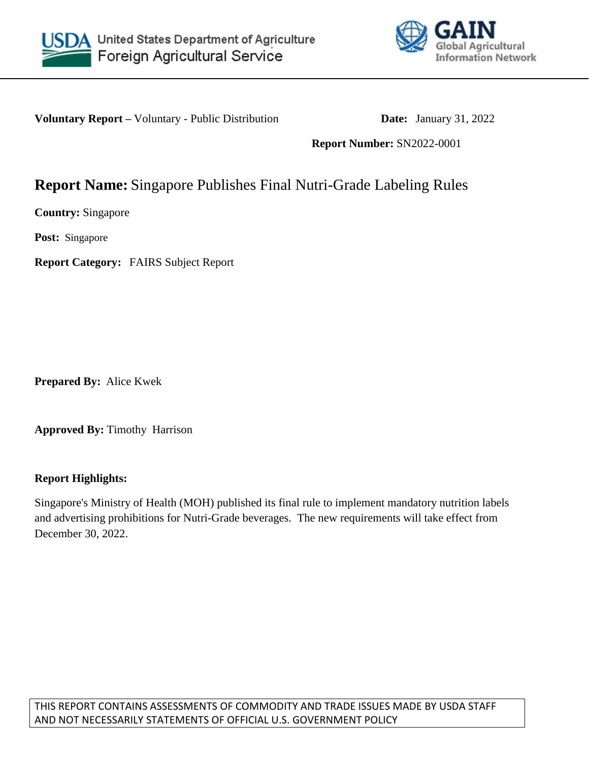



**Voluntary Report** – Voluntary - Public Distribution **Date:** January 31, 2022

**Report Number:** SN2022-0001

# **Report Name:** Singapore Publishes Final Nutri-Grade Labeling Rules

**Country:** Singapore

**Post:** Singapore

**Report Category:** FAIRS Subject Report

**Prepared By:** Alice Kwek

**Approved By:** Timothy Harrison

## **Report Highlights:**

Singapore's Ministry of Health (MOH) published its final rule to implement mandatory nutrition labels and advertising prohibitions for Nutri-Grade beverages. The new requirements will take effect from December 30, 2022.

THIS REPORT CONTAINS ASSESSMENTS OF COMMODITY AND TRADE ISSUES MADE BY USDA STAFF AND NOT NECESSARILY STATEMENTS OF OFFICIAL U.S. GOVERNMENT POLICY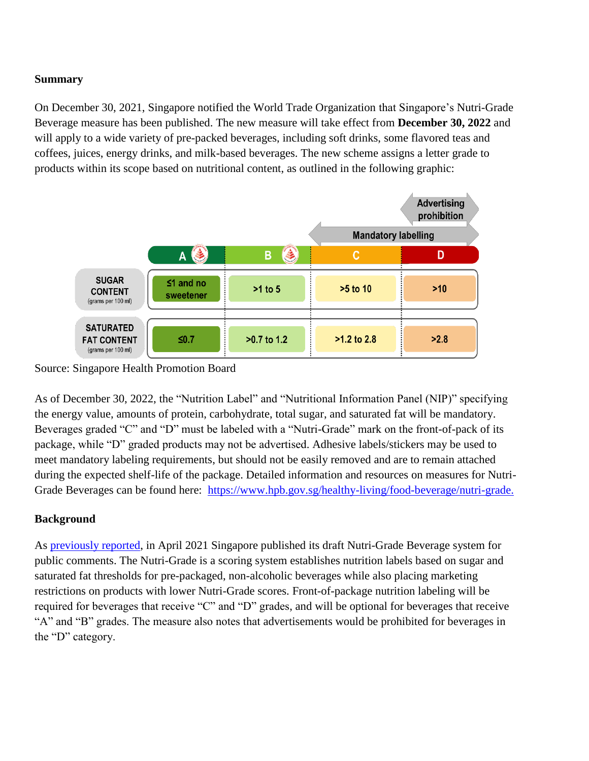# **Summary**

On December 30, 2021, Singapore notified the World Trade Organization that Singapore's Nutri-Grade Beverage measure has been published. The new measure will take effect from **December 30, 2022** and will apply to a wide variety of pre-packed beverages, including soft drinks, some flavored teas and coffees, juices, energy drinks, and milk-based beverages. The new scheme assigns a letter grade to products within its scope based on nutritional content, as outlined in the following graphic:



Source: Singapore Health Promotion Board

As of December 30, 2022, the "Nutrition Label" and "Nutritional Information Panel (NIP)" specifying the energy value, amounts of protein, carbohydrate, total sugar, and saturated fat will be mandatory. Beverages graded "C" and "D" must be labeled with a "Nutri-Grade" mark on the front-of-pack of its package, while "D" graded products may not be advertised. Adhesive labels/stickers may be used to meet mandatory labeling requirements, but should not be easily removed and are to remain attached during the expected shelf-life of the package. Detailed information and resources on measures for Nutri-Grade Beverages can be found here: [https://www.hpb.gov.sg/healthy-living/food-beverage/nutri-grade.](https://www.hpb.gov.sg/healthy-living/food-beverage/nutri-grade)

## **Background**

As [previously reported,](https://apps.fas.usda.gov/newgainapi/api/Report/DownloadReportByFileName?fileName=Singapore%20Announces%20New%20Nutri-Grade%20Labeling%20and%20Advertising%20Regulations_Singapore_Singapore_05-11-2021) in April 2021 Singapore published its draft Nutri-Grade Beverage system for public comments. The Nutri-Grade is a scoring system establishes nutrition labels based on sugar and saturated fat thresholds for pre-packaged, non-alcoholic beverages while also placing marketing restrictions on products with lower Nutri-Grade scores. Front-of-package nutrition labeling will be required for beverages that receive "C" and "D" grades, and will be optional for beverages that receive "A" and "B" grades. The measure also notes that advertisements would be prohibited for beverages in the "D" category.